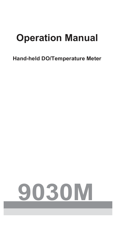# **Operation Manual**

# **Hand-held DO/Temperature Meter**

# **9030M**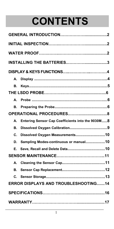# **CONTENTS**

|    | <b>INSTALLING THE BATTERIES3</b>                 |  |  |
|----|--------------------------------------------------|--|--|
|    |                                                  |  |  |
| А. |                                                  |  |  |
| В. |                                                  |  |  |
|    |                                                  |  |  |
| А. |                                                  |  |  |
| В. |                                                  |  |  |
|    |                                                  |  |  |
| А. | Entering Sensor Cap Coefficients into the 9030M8 |  |  |
| В. |                                                  |  |  |
| C. | Dissolved Oxygen Measurements10                  |  |  |
| D. | Sampling Modes-continuous or manual10            |  |  |
| Е. |                                                  |  |  |
|    |                                                  |  |  |
| А. |                                                  |  |  |
| В. |                                                  |  |  |
| С. |                                                  |  |  |
|    | <b>ERROR DISPLAYS AND TROUBLESHOOTING14</b>      |  |  |
|    |                                                  |  |  |
|    |                                                  |  |  |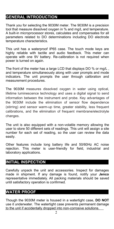#### **GENERAL INTRODUCTION**

Thank you for selecting the 9030M meter. The 9030M is a precision tool that measure dissolved oxygen in % and mg/L and temperature. A built-in microprocessor stores, calculates and compensates for all parameters related to DO determinations including DO electrode temperature characteristics.

This unit has a waterproof IP65 case. The touch mode keys are highly reliable with tactile and audio feedback. This meter can operate with one 9V battery. Re-calibration is not required when power is turned on again.

The front of the meter has a large LCD that displays DO % or mg/L , and temperature simultaneously along with user prompts and mode indicators. The unit prompts the user through calibration and measurement procedures.

The 9030M measures dissolved oxygen in water using optical, lifetime luminescence technology and uses a digital signal to send information between the instrument and probe. Key advantages of the 9030M include the elimination of sensor flow dependence (stirring) and sensor warm-up time, greater stability, less frequent calibrations, and the elimination of frequent membrane/electrolyte changes.

The unit is also equipped with a non-volatile memory allowing the user to store 50 different sets of readings. This unit will assign a site number for each set of reading, so the usercan review the data easily.

Other features include long battery life and 50/60Hz AC noise rejection. This meter is user-friendly for field, industrial and laboratory applications.

#### **INITIAL INSPECTION**

Carefully unpack the unit and accessories. Inspect for damages made in shipment. If any damage is found, notify your **Jenco** representative immediately. All packing materials should be saved until satisfactory operation is confirmed.

#### **WATER PROOF**

Though the 9030M meter is housed in a watertight case, **DO NOT** use it underwater. The watertight case prevents permanent damage to the unit if accidentally dropped into non-corrosive solutions.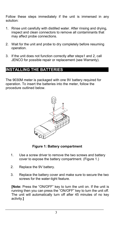Follow these steps immediately if the unit is immersed in any solution:

- 1. Rinse unit carefully with distilled water. After rinsing and drying, inspect and clean connectors to remove all contaminants that may affect probe connections.
- 2. Wait for the unit and probe to dry completely before resuming operation.
- 3. If the unit does not function correctly after steps1 and 2, call JENCO for possible repair or replacement (see Warranty).

#### **INSTALLING THE BATTERIES**

The 9030M meter is packaged with one 9V battery required for operation. To insert the batteries into the meter, follow the procedure outlined below.



**Figure 1: Battery compartment**

- 1. Use a screw driver to remove the two screws and battery cover to expose the battery compartment. (Figure 1.)
- 2. Replace the 9V battery.
- 3. Replace the battery cover and make sure to secure the two screws for the water-tight feature.

**[Note:** Press the "ON/OFF" key to turn the unit on. If the unit is running then you can press the "ON/OFF" key to turn the unit off. The unit will automatically turn off after 45 minutes of no key activity.**]**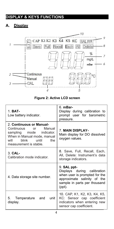#### **DISPLAY & KEYS FUNCTIONS**

#### **A. Display**



#### **Figure 2: Active LCD screen**

| $1. BAT-$<br>Low battery indicator.                                                                                                                                          | 6. mBar-<br>Display during calibration to<br>prompt user for barometric<br>pressure.                                                                 |  |
|------------------------------------------------------------------------------------------------------------------------------------------------------------------------------|------------------------------------------------------------------------------------------------------------------------------------------------------|--|
| 2. Continuous or Manual-<br>Continuous<br>Manual<br>or<br>sampling mode indicator.<br>When in Manual mode, manual<br>blink<br>until<br>the<br>will<br>measurement is stable. | <b>7. MAIN DISPLAY-</b><br>Main display for DO dissolved<br>oxygen values.                                                                           |  |
| $3$ CAL-<br>Calibration mode indicator.                                                                                                                                      | 8. Save, Full, Recall, Each,<br>All, Delete: Instrument's data<br>storage indicators.                                                                |  |
| 4. Data storage site number.                                                                                                                                                 | 9. SAL ppt-<br>Displays during calibration<br>when user is prompted for the<br>approximate salinity of the<br>sample in parts per thousand<br>(ppt). |  |
| 5.<br>Temperature<br>unit<br>and<br>display.                                                                                                                                 | 10. CAP, K1, K2, K3, K4, K5,<br>KC: Sensor cap coefficient<br>indicators when entering new<br>sensor cap coefficient.                                |  |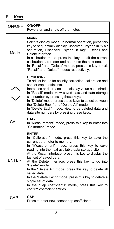## **B. Keys**

| ON/OFF       | <b>ON/OFF-</b><br>Powers on and shuts off the meter.                                                                                                                                                                                                                                                                                                                                                                                                                                                                                                                                                                 |  |
|--------------|----------------------------------------------------------------------------------------------------------------------------------------------------------------------------------------------------------------------------------------------------------------------------------------------------------------------------------------------------------------------------------------------------------------------------------------------------------------------------------------------------------------------------------------------------------------------------------------------------------------------|--|
| Mode         | Mode-<br>Selects display mode. In normal operation, press this<br>key to sequentially display Dissolved Oxygen in % air<br>saturation, Dissolved Oxygen in mg/L, Recall and<br>Delete interface.<br>In calibration mode, press this key to exit the current<br>calibration parameter and enter into the next one.<br>In "Recall" and "Delete" modes, press this key to exit<br>"Recall" and "Delete" modes respectively.                                                                                                                                                                                             |  |
|              | UP/DOWN-<br>To adjust inputs for salinity correction, calibration and<br>sensor cap coefficients.<br>Increases or decreases the display value as desired.<br>In "Recall" mode, view saved data and data storage<br>site number by pressing these keys.<br>In "Delete" mode, press these keys to select between<br>the "Delete Each" and "Delete All" mode.<br>In "Delete Each" mode, view to be deleted data and<br>data site numbers by pressing these keys.                                                                                                                                                        |  |
| CAL          | CAL-<br>In "Measurement" mode, press this key to enter into<br>"Calibration" mode.                                                                                                                                                                                                                                                                                                                                                                                                                                                                                                                                   |  |
| <b>ENTER</b> | <b>ENTER-</b><br>In "Calibration" mode, press this key to save the<br>current parameter to memory.<br>In "Measurement" mode, press this key to save<br>reading into the next available data storage site.<br>At the Recall interface, press this key to display the<br>last set of saved data.<br>At the Delete interface, press this key to go into<br>"Delete" mode.<br>In the "Delete All" mode, press this key to delete all<br>saved data.<br>In the "Delete Each" mode, press this key to delete a<br>single set of data.<br>In the "Cap coefficients" mode, press this key to<br>confirm coefficient entries. |  |
| <b>CAP</b>   | CAP-<br>Press to enter new sensor cap coefficients.                                                                                                                                                                                                                                                                                                                                                                                                                                                                                                                                                                  |  |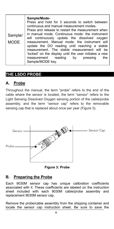#### **THE LSDO PROBE**

#### **A. Probe**

Throughout the manual, the term "probe" refers to the end of the cable where the sensor is located, the term "sensor" refers to the Light Sensing Dissolved Oxygen sensing portion of the cable/probe assembly, and the term "sensor cap" refers to the removable sensing cap that is replaced about once per year (Figure 3).



**Figure 3: Probe**

#### **B. Preparing the Probe**

Each 9030M sensor cap has unique calibration coefficients associated with it. These coefficients are labeled on the instruction sheet included with each 9030M cable/probe assembly and replacement 9030M sensor cap.

Remove the probe/cable assembly from the shipping container and locate the sensor cap instruction sheet. Be sure to save the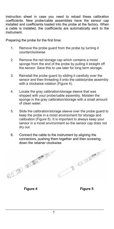instruction sheet in case you need to reload these calibration coefficients. New probe/cable assemblies have the sensor cap installed and coefficients loaded into the probe at the factory. When a cable is installed, the coefficients are automatically sent to the instrument.

Preparing the probe for the first time:

- 1. Remove the probe guard from the probe by turning it counterclockwise.
- 2. Remove the red storage cap which contains a moist sponge from the end of the probe by pulling it straight off the sensor. Save this to use later for long term storage.
- 3. Reinstall the probe guard by sliding it carefully over the sensor and then threading it onto the cable/probe assembly with a clockwise rotation (Figure 4).
- 4. Locate the gray calibration/storage sleeve that was shipped with your probe/cable assembly. Moisten the sponge in the gray calibration/storage with a small amount of clean water.
- 5. Slide the calibration/storage sleeve over the probe guard to keep the probe in a moist environment for storage and calibration (Figure 5). It is important to always keep your sensor in a moist environment so the sensor cap does not dry out.
- 6. Connect the cable to the instrument by aligning the connectors, pushing them together and then screwing



**Figure 4 Figure 5**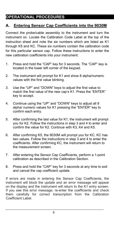### **OPERATIONAL PROCEDURES**

#### **A. Entering Sensor Cap Coefficients into the 9030M**

Connect the probe/cable assembly to the instrument and turn the instrument on. Locate the Calibration Code Label at the top of the instruction sheet and note the six numbers which are listed as K1 through K5 and KC. These six numbers contain the calibration code for this particular sensor cap. Follow these instructions to enter the new calibration coefficients into your instrument:

- 1. Press and hold the "CAP" key for 3 seconds. The "CAP" key is located in the lower left corner of the keypad.
- 2. The instrument will prompt for K1 and show 8 alpha/numeric values with the first value blinking.
- 3. Use the "UP" and "DOWN" keys to adjust the first value to match the first value of the new cap's K1. Press the "ENTER" key to accept.
- 4. Continue using the "UP" and "DOWN" keys to adjust all 8 alpha/ numeric values for K1 pressing the "ENTER" key to confirm each entry.
- 5. After confirming the last value for K1, the instrument will prompt you for K2. Follow the instructions in step 3 and 4 to enter and confirm the value for K2. Continue with K3, K4 and K5.
- 6. After confirming K5, the 9030M will prompt you for KC. KC has two values. Follow the instructions in step 3 and 4 to enter the coefficients. After confirming KC, the instrument will return to the measurement screen.
- 7. After entering the Sensor Cap Coefficients, perform a 1-point calibration as described in the Calibration Section.
- 8. Press and hold the "CAP" key for 3 seconds at any time to exit and cancel the cap coefficient update.

If errors are made in entering the Sensor Cap Coefficients, the instrument will block the update and an error message will appear on the display and the instrument will return to the K1 entry screen. If you see this error message, re-enter the coefficients and check them carefully for correct transcription from the Calibration Coefficient Label.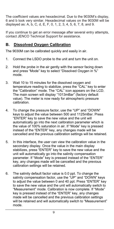The coefficient values are hexadecimal. Due to the 9030M's display, 6 and b look very similar. Hexadecimal values on the 9030M will be displayed as: A, b, C, d, E, F, 0, 1, 2, 3, 4, 5, 6, 7, 8, and 9.

If you continue to get an error message after several entry attempts, contact JENCO Technical Support for assistance.

#### **B. Dissolved Oxygen Calibration**

The 9030M can be calibrated quickly and easily in air.

- 1. Connect the LSDO probe to the unit and turn the unit on.
- 2. Hold the probe in the air gently with the sensor facing down and press "Mode" key to select "Dissolved Oxygen in %" mode.
- 3. Wait 10 to 15 minutes for the dissolved oxygen and temperature reading to stabilize, press the "CAL" key to enter the "Calibration" mode. The "CAL" icon appears on the LCD. The main screen will display "1013mBar" (factory default value). The meter is now ready for atmospheric pressure calibration.
- 4. To change the pressure factor, use the "UP" and "DOWN" keys to adjust the value between 500 and 1125mBar. Press "ENTER" key to save the new value and the unit will automatically go into the next calibration parameter which is the value of 100% saturation in air. If "Mode" key is pressed instead of the "ENTER" key, any changes made will be cancelled and the previous calibration settings will be retained.
- 5. In this interface, the user can view the calibration value in the secondary display. Once the value in the main display stabilizes, press "ENTER" key to save the new value and the unit will automatically go into the salinity compensation parameter. If "Mode" key is pressed instead of the "ENTER" key, any changes made will be cancelled and the previous calibration settings will be retained.
- 6. The salinity default factor value is0.0 ppt. To change the salinity compensation factor, use the "UP" and "DOWN" keys to adjust the value between 0 and 40 ppt. Press "ENTER" key to save the new value and the unit will automatically switch to "Measurement" mode. Calibration is now complete. If "Mode" key is pressed instead of the "ENTER" key, any changes made will be cancelled and the previous calibration settings will be retained and will automatically switch to "Measurement" mode.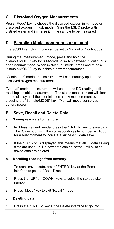#### **C. Dissolved Oxygen Measurements**

Press "Mode" key to choose the dissolved oxygen in % mode or dissolved oxygen in mg/L mode. Rinse the LSDO probe with distilled water and immerse it in the sample to be measured.

#### **D. Sampling Mode- continuous or manual**

The 9030M sampling mode can be set to Manual or Continuous.

During the "Measurement" mode, press and hold the "Sample/MODE" key for 3 seconds to switch between "Continuous" and "Manual" mode. When in "Manual" mode, press and release "Sample/MODE" key to initiate a new measurement.

"Continuous" mode: the instrument will continuously update the dissolved oxygen measurement.

"Manual" mode: the instrument will update the DO reading until reaching a stable measurement. The stable measurement will 'lock' on the display until the user initiates a new measurement by pressing the "Sample/MODE" key. "Manual" mode conserves battery power.

#### **E. Save, Recall and Delete Data**

#### **a. Saving readings to memory.**

- 1. In "Measurement" mode, press the "ENTER" key to save data. The "Save" icon with the corresponding site number will lit up for a brief moment to indicate a successful data save.
- 2. If the "Full" icon is displayed, this means that all 50 data saving sites are used up. No new data can be saved until existing saved data are deleted.

#### **b. Recalling readings from memory.**

- 1. To recall saved data, press "ENTER" key at the Recall interface to go into "Recall" mode.
- 2. Press the "UP" or "DOWN" keys to select the storage site number.
- 3. Press "Mode" key to exit "Recall" mode.

#### **c. Deleting data.**

1. Press the "ENTER" key at the Delete interface to go into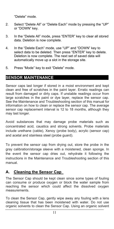"Delete" mode.

- 2. Select "Delete All" or "Delete Each" mode by pressing the "UP" or "DOWN" key.
- 3. In the "Delete All" mode, press "ENTER" key to clear all stored data. Deletion is now complete.
- 4. In the "Delete Each" mode, use "UP" and "DOWN" key to select data to be deleted. Then press "ENTER" key to delete. Deletion is now complete. The next set of saved data will automatically move up a slot in the storage site.
- 5. Press "Mode" key to exit "Delete" mode.

#### **SENSOR MAINTENANCE**

Sensor caps last longer if stored in a moist environment and kept clean and free of scratches in the paint layer. Erratic readings can result from damaged or dirty caps. If unstable readings occur from large scratches in the paint or dye layer, replace the sensor cap. See the Maintenance and Troubleshooting section of this manual for information on how to clean or replace the sensor cap. The average sensor cap replacement interval is 12 to 18 months, although they may last longer.

Avoid substances that may damage probe materials such as concentrated acid, caustics and strong solvents. Probe materials include urethane (cable), Xenoy (probe body), acrylic (sensor cap) and acetal and stainless steel (probe guard).

To prevent the sensor cap from drying out, store the probe in the gray calibration/storage sleeve with a moistened, clean sponge. In the event the sensor cap dries out, rehydrate it following the instructions in the Maintenance and Troubleshooting section of this manual.

#### **A. Cleaning the Sensor Cap**

The Sensor Cap should be kept clean since some types of fouling can consume or produce oxygen or block the water sample from reaching the sensor which could affect the dissolved oxygen measurements.

To clean the Sensor Cap, gently wipe away any fouling with a lens cleaning tissue that has been moistened with water. Do not use organic solvents to clean the Sensor Cap. Using an organic solvent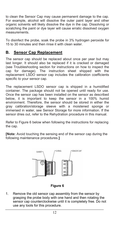to clean the Sensor Cap may cause permanent damage to the cap. For example, alcohol will dissolve the outer paint layer and other organic solvents will likely dissolve the dye in the cap. Dissolving or scratching the paint or dye layer will cause erratic dissolved oxygen measurements.

To disinfect the probe, soak the probe in 3% hydrogen peroxide for 15 to 30 minutes and then rinse it with clean water.

#### **B. Sensor Cap Replacement**

The sensor cap should be replaced about once per year but may last longer. It should also be replaced if it is cracked or damaged (see Troubleshooting section for instructions on how to inspect the cap for damage). The instruction sheet shipped with the replacement LSDO sensor cap includes the calibration coefficients specific to your sensor cap.

The replacement LSDO sensor cap is shipped in a humidified container. The package should not be opened until ready for use. Once the sensor cap has been installed on the sensor as described below, it is important to keep the sensor in a 100% humid environment. Therefore, the sensor should be stored in either the gray calibration/storage sleeve with a moistened sponge or immersed in water, see Sensor Storage for more information. If the sensor dries out, refer to the Rehydration procedure in this manual.

Refer to Figure 6 below when following the instructions for replacing the cap.

**[Note:** Avoid touching the sensing end of the sensor cap during the following maintenance procedures.**]**



#### **Figure 6**

1. Remove the old sensor cap assembly from the sensor by grasping the probe body with one hand and then rotating the sensor cap counterclockwise until it is completely free. Do not use any tools for this procedure.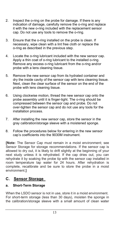- 2. Inspect the o-ring on the probe for damage. If there is any indication of damage, carefully remove the o-ring and replace it with the new o-ring included with the replacement sensor cap. Do not use any tools to remove the o-ring.
- 3. Ensure that the o-ring installed on the probe is clean. If necessary, wipe clean with a lint free cloth or replace the o-ring as described in the previous step.
- 4. Locate the o-ring lubricant included with the new sensor cap. Apply a thin coat of o-ring lubricant to the installed o-ring. Remove any excess o-ring lubricant from the o-ring and/or probe with a lens cleaning tissue.
- 5. Remove the new sensor cap from its hydrated container and dry the inside cavity of the sensor cap with lens cleaning tissue. Next, clean the clear surface of the sensor on the end of the probe with lens cleaning tissue.
- 6. Using clockwise motion, thread the new sensor cap onto the probe assembly until it is finger-tight. The o-ring should be compressed between the sensor cap and probe. Do not over-tighten the sensor cap and do not use any tools for the installation process.
- 7. After installing the new sensor cap, store the sensor in the gray calibration/storage sleeve with a moistened sponge.
- 8. Follow the procedures below for entering in the new sensor cap's coefficients into the 9030M instrument.

**[Note:** The Sensor Cap must remain in a moist environment; see Sensor Storage for storage recommendations. If the sensor cap is allowed to dry out, it is likely to drift slightly at the beginning of your next study unless it is rehydrated. If the cap dries out, you can rehydrate it by soaking the probe tip with the sensor cap installed in room temperature tap water for 24 hours. After rehydration is complete, recalibrate and be sure to store the probe in a moist environment.**]**

#### **C. Sensor Storage**

#### **a. Short-Term Storage**

When the LSDO sensor is not in use, store it in a moist environment. For short-term storage (less than 30 days), moisten the sponge in the calibration/storage sleeve with a small amount of clean water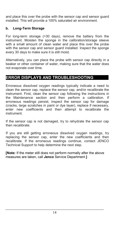and place this over the probe with the sensor cap and sensor guard installed. This will provide a 100% saturated air environment.

#### **b. Long-Term Storage**

For long-term storage (>30 days), remove the battery from the instrument. Moisten the sponge in the calibration/storage sleeve with a small amount of clean water and place this over the probe with the sensor cap and sensor guard installed. Inspect the sponge every 30 days to make sure it is still moist.

Alternatively, you can place the probe with sensor cap directly in a beaker or other container of water, making sure that the water does not evaporate over time.

#### **ERROR DISPLAYS AND TROUBLESHOOTING**

Erroneous dissolved oxygen readings typically indicate a need to clean the sensor cap, replace the sensor cap, and/or recalibrate the instrument. First, clean the sensor cap following the instructions in the Maintenance section and then perform a calibration. If erroneous readings persist, inspect the sensor cap for damage (cracks, large scratches in paint or dye layer), replace if necessary, enter new coefficients and then attempt to recalibrate the instrument.

If the sensor cap is not damaged, try to rehydrate the sensor cap then recalibrate.

If you are still getting erroneous dissolved oxygen readings, try replacing the sensor cap, enter the new coefficients and then recalibrate. If the erroneous readings continue, contact JENCO Technical Support to help determine the next step.

**[Note:** If the meter still does not perform normally after the above measures are taken, call **Jenco** Service Department.**]**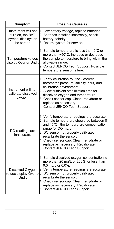| Symptom                                                                      | <b>Possible Cause(s)</b>                                                                                                                                                                                                                                                                                                                                                               |
|------------------------------------------------------------------------------|----------------------------------------------------------------------------------------------------------------------------------------------------------------------------------------------------------------------------------------------------------------------------------------------------------------------------------------------------------------------------------------|
| Instrument will not<br>turn on, the BAT<br>symbol displays on<br>the screen. | 1. Low battery voltage, replace batteries.<br>2. Batteries installed incorrectly, check<br>battery polarity.<br>3. Return system for service.                                                                                                                                                                                                                                          |
| Temperature values<br>display Over or Undr.                                  | 1. Sample temperature is less than $0^{\circ}$ C or<br>more than +50°C. Increase or decrease<br>the sample temperature to bring within the<br>allowable range.<br>2. Contact JENCO Tech Support. Possible<br>temperature sensor failure.                                                                                                                                               |
| Instrument will not<br>calibrate dissolved<br>oxygen.                        | 1. Verify calibration routine - correct<br>barometric pressure, salinity input, and<br>calibration environment.<br>2. Allow sufficient stabilization time for<br>dissolved oxygen and temperature.<br>3. Check sensor cap. Clean, rehydrate or<br>replace as necessary.<br>4. Contact JENCO Tech Support.                                                                              |
| DO readings are<br>inaccurate.                                               | 1. Verify temperature readings are accurate.<br>2. Sample temperature should be between 0<br>and 45°C, the temperature compensation<br>range for DO mg/L.<br>3. DO sensor not properly calibrated,<br>recalibrate the sensor.<br>4. Check sensor cap. Clean, rehydrate or<br>replace as necessary. Recalibrate.<br>5. Contact JENCO Tech Support.                                      |
| Dissolved Oxygen<br>Undr.                                                    | 1. Sample dissolved oxygen concentration is<br>more than 20 mg/L or 200%, or less than<br>0.0 mg/L or 0.0%.<br>2. Verify temperature readings are accurate.<br>values display Over or <sub>3</sub> . DO sensor not properly calibrated,<br>recalibrate the sensor.<br>4. Check sensor cap. Clean, rehydrate or<br>replace as necessary. Recalibrate.<br>5. Contact JENCO Tech Support. |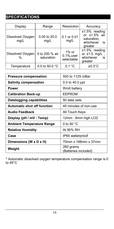## **SPECIFICATIONS**

| Display                           | Range                        | Resolution                               | Accuracy                                                                         |
|-----------------------------------|------------------------------|------------------------------------------|----------------------------------------------------------------------------------|
| Dissolved Oxygen<br>mg/L          | 0.00 to 20.0<br>mg/L         | $0.1$ or $0.01$<br>mg/L                  | $±1.5\%$ reading<br>or $±1.5\%$ air<br>saturation,<br>whichever<br>is<br>greater |
| Dissolved Oxygen<br>$\frac{0}{0}$ | 0 to 200 % air<br>saturation | $1\%$ or<br>$0.1\%$ , user<br>selectable | $±1.5\%$ reading<br>or $\pm 1.5$ mg/L<br>whichever<br>is<br>greater              |
| Temperature                       | 0.0 to 50.0 $^{\circ}$ C     | 0.1 °C                                   | $\pm 0.3^{\circ}$ C                                                              |

| <b>Pressure compensation</b>       | 500 to 1125 mBar                  |  |
|------------------------------------|-----------------------------------|--|
| <b>Salinity compensation</b>       | 0.0 to 40.0 ppt                   |  |
| <b>Power</b>                       | 9Volt battery                     |  |
| <b>Calibration Back-up</b>         | <b>FFPROM</b>                     |  |
| Datalogging capabilities           | 50 data sets                      |  |
| <b>Automatic shut off function</b> | 45 minutes of non-use             |  |
| <b>Audio Feedback</b>              | All Touch Keys                    |  |
| Display (pH / mV : Temp)           | 12mm: 8mm high LCD                |  |
| <b>Ambient Temperature Range</b>   | 0 to 50 $^{\circ}$ C              |  |
| <b>Relative Humidity</b>           | At 90% RH                         |  |
| Case                               | IP65 waterproof                   |  |
| Dimensions (W x D x H)             | 70mm x 198mm x 37mm               |  |
| Weight                             | 260 grams<br>(Batteries included) |  |
|                                    |                                   |  |

\* Automatic dissolved oxygen temperature compensation range is0 to 45°C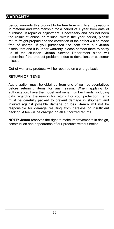#### **WARRANTY**

**Jenco** warrants this product to be free from significant deviations in material and workmanship for a period of 1 year from date of purchase. If repair or adjustment is necessary and has not been the result of abuse or misuse, within the year period, please return-freight-prepaid and the correction of the defect will be made free of charge. If you purchased the item from our **Jenco** distributors and it is under warranty, please contact them to notify us of the situation. **Jenco** Service Department alone will determine if the product problem is due to deviations or customer misuse.

Out-of-warranty products will be repaired on a charge basis.

#### RETURN OF ITEMS

Authorization must be obtained from one of our representatives before returning items for any reason. When applying for authorization, have the model and serial number handy, including data regarding the reason for return. For your protection, items must be carefully packed to prevent damage in shipment and insured against possible damage or loss. **Jenco** will not be responsible for damage resulting from careless or insufficient packing. A fee will be charged on all authorized returns.

**NOTE: Jenco** reserves the right to make improvements in design, construction and appearance of our products without notice.